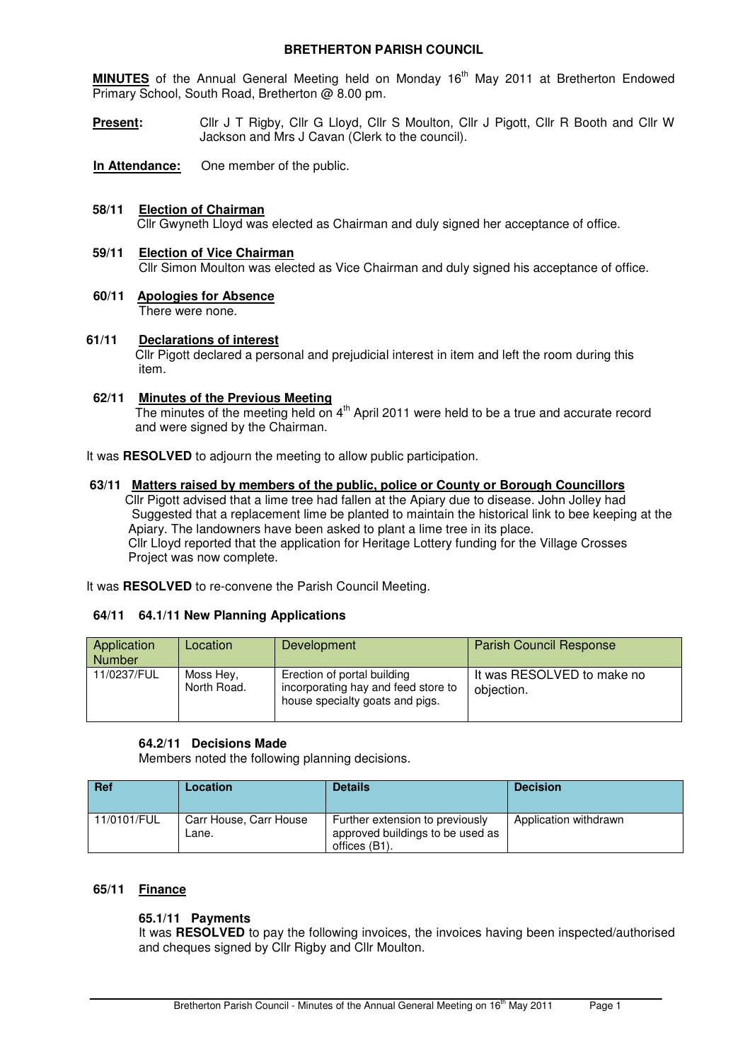### **BRETHERTON PARISH COUNCIL**

**MINUTES** of the Annual General Meeting held on Monday 16<sup>th</sup> May 2011 at Bretherton Endowed Primary School, South Road, Bretherton @ 8.00 pm.

**Present:** Cllr J T Rigby, Cllr G Lloyd, Cllr S Moulton, Cllr J Pigott, Cllr R Booth and Cllr W Jackson and Mrs J Cavan (Clerk to the council).

**In Attendance:** One member of the public.

### **58/11 Election of Chairman**

Cllr Gwyneth Lloyd was elected as Chairman and duly signed her acceptance of office.

### **59/11 Election of Vice Chairman** Cllr Simon Moulton was elected as Vice Chairman and duly signed his acceptance of office.

**60/11 Apologies for Absence** There were none.

# **61/11 Declarations of interest**

 Cllr Pigott declared a personal and prejudicial interest in item and left the room during this item.

### **62/11 Minutes of the Previous Meeting**

The minutes of the meeting held on 4<sup>th</sup> April 2011 were held to be a true and accurate record and were signed by the Chairman.

It was **RESOLVED** to adjourn the meeting to allow public participation.

#### **63/11 Matters raised by members of the public, police or County or Borough Councillors**

 Cllr Pigott advised that a lime tree had fallen at the Apiary due to disease. John Jolley had Suggested that a replacement lime be planted to maintain the historical link to bee keeping at the Apiary. The landowners have been asked to plant a lime tree in its place. Cllr Lloyd reported that the application for Heritage Lottery funding for the Village Crosses Project was now complete.

It was **RESOLVED** to re-convene the Parish Council Meeting.

### **64/11 64.1/11 New Planning Applications**

| Application<br><b>Number</b> | Location                 | Development                                                                                           | <b>Parish Council Response</b>           |
|------------------------------|--------------------------|-------------------------------------------------------------------------------------------------------|------------------------------------------|
| 11/0237/FUL                  | Moss Hev.<br>North Road. | Erection of portal building<br>incorporating hay and feed store to<br>house specialty goats and pigs. | It was RESOLVED to make no<br>objection. |

### **64.2/11 Decisions Made**

Members noted the following planning decisions.

| <b>Ref</b>  | Location                        | <b>Details</b>                                                                      | <b>Decision</b>       |
|-------------|---------------------------------|-------------------------------------------------------------------------------------|-----------------------|
| 11/0101/FUL | Carr House, Carr House<br>Lane. | Further extension to previously<br>approved buildings to be used as<br>offices (B1) | Application withdrawn |

### **65/11 Finance**

## **65.1/11 Payments**

It was **RESOLVED** to pay the following invoices, the invoices having been inspected/authorised and cheques signed by Cllr Rigby and Cllr Moulton.